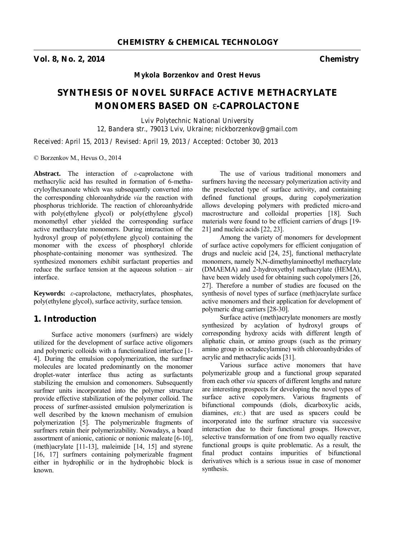**Vol. 8, No. 2, 2014 Chemistry** 

*Mykola Borzenkov and Orest Hevus* 

# **SYNTHESIS OF NOVEL SURFACE ACTIVE METHACRYLATE MONOMERS BASED ON** *e***-CAPROLACTONE**

*Lviv Polytechnic National University 12, Bandera str., 79013 Lviv, Ukraine; nickborzenkov@gmail.com* 

*Received: April 15, 2013 / Revised: April 19, 2013 / Accepted: October 30, 2013* 

© Borzenkov M., Hevus O., 2014

**Abstract.** The interaction of *ε*-caprolactone with methacrylic acid has resulted in formation of 6-methacryloylhexanoate which was subsequently converted into the corresponding chloroanhydride *via* the reaction with phosphorus trichloride. The reaction of chloroanhydride with poly(ethylene glycol) or poly(ethylene glycol) monomethyl ether yielded the corresponding surface active methacrylate monomers. During interaction of the hydroxyl group of poly(ethylene glycol) containing the monomer with the excess of phosphoryl chloride phosphate-containing monomer was synthesized. The synthesized monomers exhibit surfactant properties and reduce the surface tension at the aqueous solution – air interface.

**Keywords:** *ε*-caprolactone, methacrylates, phosphates, poly(ethylene glycol), surface activity, surface tension.

#### **1. Introduction**

Surface active monomers (surfmers) are widely utilized for the development of surface active oligomers and polymeric colloids with a functionalized interface [1- 4]. During the emulsion copolymerization, the surfmer molecules are located predominantly on the monomer droplet-water interface thus acting as surfactants stabilizing the emulsion and comonomers. Subsequently surfmer units incorporated into the polymer structure provide effective stabilization of the polymer colloid. The process of surfmer-assisted emulsion polymerization is well described by the known mechanism of emulsion polymerization [5]. The polymerizable fragments of surfmers retain their polymerizability. Nowadays, a board assortment of anionic, cationic or nonionic maleate [6-10], (meth)acrylate [11-13], maleimide [14, 15] and styrene [16, 17] surfmers containing polymerizable fragment either in hydrophilic or in the hydrophobic block is known.

The use of various traditional monomers and surfmers having the necessary polymerization activity and the preselected type of surface activity, and containing defined functional groups, during copolymerization allows developing polymers with predicted micro-and macrostructure and colloidal properties [18]. Such materials were found to be efficient carriers of drugs [19- 21] and nucleic acids [22, 23].

Among the variety of monomers for development of surface active copolymers for efficient conjugation of drugs and nucleic acid [24, 25], functional methacrylate monomers, namely N,N-dimethylaminoethyl methacrylate (DMAEMA) and 2-hydroxyethyl methacrylate (HEMA), have been widely used for obtaining such copolymers [26, 27]. Therefore a number of studies are focused on the synthesis of novel types of surface (meth)acrylate surface active monomers and their application for development of polymeric drug carriers [28-30].

Surface active (meth)acrylate monomers are mostly synthesized by acylation of hydroxyl groups of corresponding hydroxy acids with different length of aliphatic chain, or amino groups (such as the primary amino group in octadecylamine) with chloroanhydrides of acrylic and methacrylic acids [31].

Various surface active monomers that have polymerizable group and a functional group separated from each other *via* spacers of different lengths and nature are interesting prospects for developing the novel types of surface active copolymers. Various fragments of bifunctional compounds (diols, dicarboxylic acids, diamines, *etc*.) that are used as spacers could be incorporated into the surfmer structure via successive interaction due to their functional groups. However, selective transformation of one from two equally reactive functional groups is quite problematic. As a result, the final product contains impurities of bifunctional derivatives which is a serious issue in case of monomer synthesis.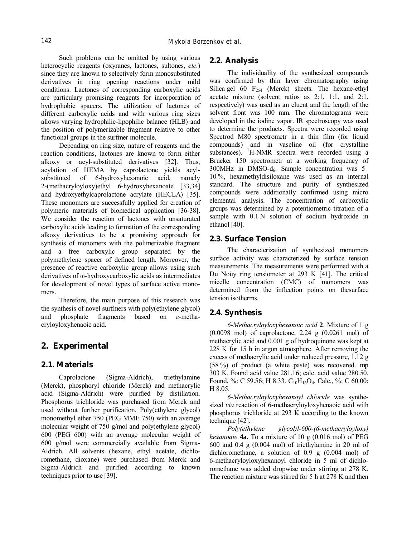Such problems can be omitted by using various heterocyclic reagents (oxyranes, lactones, sultones, *etc.*) since they are known to selectively form monosubstituted derivatives in ring opening reactions under mild conditions. Lactones of corresponding carboxylic acids are particulary promising reagents for incorporation of hydrophobic spacers. The utilization of lactones of different carboxylic acids and with various ring sizes allows varying hydrophilic-lipophilic balance (HLB) and the position of polymerizable fragment relative to other functional groups in the surfmer molecule.

Depending on ring size, nature of reagents and the reaction conditions, lactones are known to form either alkoxy or acyl-substituted derivatives [32]. Thus, acylation of HEMA by caprolactone yields acylsubstituted of 6-hydroxyhexanoic acid, namely 2-(methacryloyloxy)ethyl 6-hydroxyhexanoate [33,34] and hydroxyethylcaprolactone acrylate (HECLA) [35]. These monomers are successfully applied for creation of polymeric materials of biomedical application [36-38]. We consider the reaction of lactones with unsaturated carboxylic acids leading to formation of the corresponding alkoxy derivatives to be a promising approach for synthesis of monomers with the polimerizable fragment and a free carboxylic group separated by the polymethylene spacer of defined length. Moreover, the presence of reactive carboxylic group allows using such derivatives of ω-hydroxycarboxylic acids as intermediates for development of novel types of surface active monomers.

Therefore, the main purpose of this research was the synthesis of novel surfmers with poly(ethylene glycol) and phosphate fragments based on *ε*-methacryloyloxyhenaoic acid.

## **2. Experimental**

## **2.1. Materials**

Caprolactone (Sigma-Aldrich), triethylamine (Merck), phosphoryl chloride (Merck) and methacrylic acid (Sigma-Aldrich) were purified by distillation. Phosphorus trichloride was purchased from Merck and used without further purification. Poly(ethylene glycol) monomethyl ether 750 (PEG MME 750) with an average molecular weight of 750 g/mol and poly(ethylene glycol) 600 (PEG 600) with an average molecular weight of 600 g/mol were commercially available from Sigma-Aldrich. All solvents (hexane, ethyl acetate, dichloromethane, dioxane) were purchased from Merck and Sigma-Aldrich and purified according to known techniques prior to use [39].

#### **2.2. Analysis**

The individuality of the synthesized compounds was confirmed by thin layer chromatography using Silica gel 60  $F_{254}$  (Merck) sheets. The hexane-ethyl acetate mixture (solvent ratios as 2:1, 1:1, and 2:1, respectively) was used as an eluent and the length of the solvent front was 100 mm. The chromatograms were developed in the iodine vapor. IR spectroscopy was used to determine the products. Spectra were recorded using Spectrod M80 spectrometr in a thin film (for liquid compounds) and in vaseline oil (for crystalline substances). <sup>1</sup>H-NMR spectra were recorded using a Brucker 150 spectrometr at a working frequency of  $300MHz$  in DMSO-d<sub>6</sub>. Sample concentration was  $5-$ 10 %, hexamethyldisiloxane was used as an internal standard. The structure and purity of synthesized compounds were additionally confirmed using micro elemental analysis. The concentration of carboxylic groups was determined by a potentiometric titration of a sample with  $0.1$  N solution of sodium hydroxide in ethanol [40].

## **2.3. Surface Tension**

The characterization of synthesized monomers surface activity was characterized by surface tension measurements. The measurements were performed with a Du Noüy ring tensiometer at 293 K [41]. The critical micelle concentration (CMC) of monomers was determined from the inflection points on thesurface tension isotherms.

## **2.4. Synthesis**

*6-Methacryloyloxyhexanoic acid* **2**. Mixture of 1 g (0.0098 mol) of caprolactone, 2.24 g (0.0261 mol) of methacrylic acid and 0.001 g of hydroquinone was kept at 228 K for 15 h in argon atmosphere. After removing the excess of methacrylic acid under reduced pressure, 1.12 g (58 %) of product (a white paste) was recovered. mp 303 K. Found acid value 281.16; calc. acid value 280.50. Found, %: С 59.56; Н 8.33.  $C_{10}H_{16}O_4$ . Calc., %: С 60.00; Н 8.05.

*6-Methacryloyloxyhexanoyl chloride* was synthesized *via* reaction of 6-methacryloyloxyhenaoic acid with phosphorus trichloride at 293 K according to the known technique [42].

*Poly(ethylene glycol)l-600-(6-methacryloyloxy) hexanoate* **4a.** To a mixture of 10 g (0.016 mol) of PEG 600 and 0.4 g (0.004 mol) of triethylamine in 20 ml of dichloromethane, a solution of 0.9 g (0.004 mol) of 6-methacryloyloxyhexanoyl chloride in 5 ml of dichloromethane was added dropwise under stirring at 278 K. The reaction mixture was stirred for 5 h at 278 K and then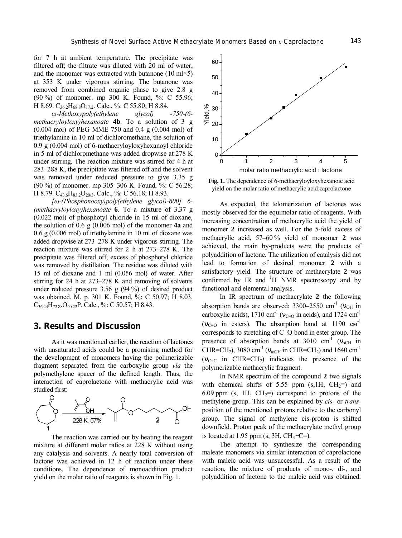for 7 h at ambient temperature. The precipitate was filtered off; the filtrate was diluted with 20 ml of water, and the monomer was extracted with butanone (10 ml $\times$ 5) at 353 K under vigorous stirring. The butanone was removed from combined organic phase to give 2.8 g (90 %) of monomer. mp 300 K. Found, %: С 55.96; Н 8.69.  $C_{36.2}H_{68.8}O_{17.2}$ . Calc., %: С 55.80; Н 8.84.

*ω-Methoxypoly(ethylene glycol) -750-(6 methacryloyloxy)hexanoate* **4b**. To a solution of 3 g (0.004 mol) of PEG MME 750 and 0.4 g (0.004 mol) of triethylamine in 10 ml of dichloromethane, the solution of 0.9 g (0.004 mol) of 6-methacryloyloxyhexanoyl chloride in 5 ml of dichloromethane was added dropwise at 278 K under stirring. The reaction mixture was stirred for 4 h at 283–288 K, the precipitate was filtered off and the solvent was removed under reduced pressure to give 3.35 g (90 %) of monomer. mp 305–306 K. Found, %: C 56.28; H 8.79. C<sub>43.6</sub>H<sub>83.2</sub>O<sub>20/3</sub>. Calc., %: C 56.18; H 8.93.

*[ω-(Phosphonooxy)poly(ethylene glycol)-600] 6- (methacryloyloxy)hexanoate* **6**. To a mixture of 3.37 g (0.022 mol) of phosphotyl chloride in 15 ml of dioxane, the solution of 0.6 g (0.006 mol) of the monomer **4a** and 0.6 g (0.006 mol) of triethylamine in 10 ml of dioxane was added dropwise at 273–278 K under vigorous stirring. The reaction mixture was stirred for 2 h at 273–278 K. The precipitate was filtered off; excess of phosphoryl chloride was removed by distillation. The residue was diluted with 15 ml of dioxane and 1 ml (0.056 mol) of water. After stirring for 24 h at 273–278 K and removing of solvents under reduced pressure 3.56 g (94 %) of desired product was obtained. M. p. 301 K. Found, %: C 50.97; H 8.03.  $C_{36.44}H_{72.88}O_{20.22}P$ . Calc., %: C 50.57; H 8.43.

#### **3. Results and Discussion**

As it was mentioned earlier, the reaction of lactones with unsaturated acids could be a promising method for the development of monomers having the polimerizable fragment separated from the carboxylic group *via* the polymethylene spacer of the defined length. Thus, the interaction of caprolactone with methacrylic acid was studied first:



The reaction was carried out by heating the reagent mixture at different molar ratios at 228 K without using any catalysis and solvents. A nearly total conversion of lactone was achieved in 12 h of reaction under these conditions. The dependence of monoaddition product yield on the molar ratio of reagents is shown in Fig. 1.



**Fig. 1.** The dependence of 6-methacryloyloxyhexanoic acid yield on the molar ratio of methacrylic acid:caprolactone

As expected, the telomerization of lactones was mostly observed for the equimolar ratio of reagents. With increasing concentration of methacrylic acid the yield of monomer **2** increased as well. For the 5-fold excess of methacrylic acid, 57–60 % yield of monomer **2** was achieved, the main by-products were the products of polyaddition of lactone. The utilization of catalysis did not lead to formation of desired monomer **2** with a satisfactory yield. The structure of methacrylate **2** was confirmed by IR and  $H$  NMR spectroscopy and by functional and elemental analysis.

In IR spectrum of methacrylate **2** the following absorption bands are observed:  $3300-2550$  cm<sup>-1</sup> ( $v_{OH}$  in carboxylic acids), 1710 cm<sup>-1</sup> ( $v_{C=0}$  in acids), and 1724 cm<sup>-1</sup>  $(V_{C=O}$  in esters). The absorption band at 1190  $cm^{-1}$ corresponds to stretching of C–O bond in ester group. The presence of absorption bands at 3010  $cm^{-1}$  ( $v_{sCH}$  in CHR=CH<sub>2</sub>), 3080 cm<sup>-1</sup> ( $v_{\text{asCH}}$  in CHR=CH<sub>2</sub>) and 1640 cm<sup>-1</sup>  $(v_{C=C}$  in CHR=CH<sub>2</sub>) indicates the presence of the polymerizable methacrylic fragment.

In NMR spectrum of the compound **2** two signals with chemical shifts of 5.55 ppm  $(s, 1H, CH<sub>2</sub>=)$  and 6.09 ppm (s, 1H,  $CH_2=$ ) correspond to protons of the methylene group. This can be explained by *cis*- or *trans*position of the mentioned protons relative to the carbonyl group. The signal of methylene cis-proton is shifted downfield. Proton peak of the methacrylate methyl group is located at 1.95 ppm (s,  $3H$ ,  $CH_3-C=$ ).

The attempt to synthesize the corresponding maleate monomers via similar interaction of caprolactone with maleic acid was unsuccessful. As a result of the reaction, the mixture of products of mono-, di-, and polyaddition of lactone to the maleic acid was obtained.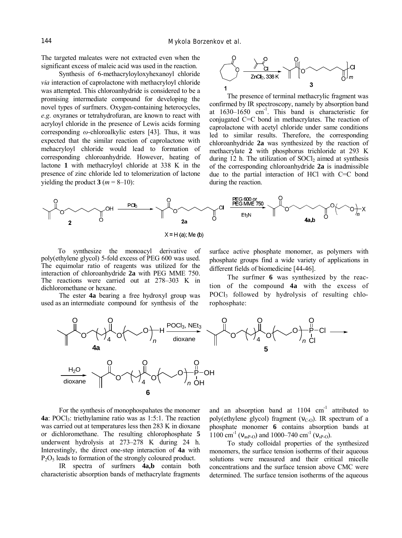The targeted maleates were not extracted even when the significant excess of maleic acid was used in the reaction.

Synthesis of 6-methacryloyloxyhexanoyl chloride *via* interaction of caprolactone with methacryloyl chloride was attempted. This chloroanhydride is considered to be a promising intermediate compound for developing the novel types of surfmers. Oxygen-containing heterocycles, *e.g*. oxyranes or tetrahydrofuran, are known to react with acryloyl chloride in the presence of Lewis acids forming corresponding *ω*-chloroalkylic esters [43]. Thus, it was expected that the similar reaction of caprolactone with mehacryloyl chloride would lead to formation of corresponding chloroanhydride. However, heating of lactone **1** with methacryloyl chloride at 338 K in the presence of zinc chloride led to telomerization of lactone yielding the product  $3(m = 8-10)$ :



The presence of terminal methacrylic fragment was confirmed by IR spectroscopy, namely by absorption band at 1630–1650 cm -1 . This band is characteristic for conjugated C=C bond in methacrylates. The reaction of caprolactone with acetyl chloride under same conditions led to similar results. Therefore, the corresponding chloroanhydride **2a** was synthesized by the reaction of methacrylate **2** with phosphorus trichloride at 293 K during 12 h. The utilization of  $S OCl<sub>2</sub>$  aimed at synthesis of the corresponding chloroanhydride **2a** is inadmissible due to the partial interaction of HCl with C=C bond during the reaction.



 $X = H(a)$ ; Me (b)

To synthesize the monoacyl derivative of poly(ethylene glycol) 5-fold excess of PEG 600 was used. The equimolar ratio of reagents was utilized for the interaction of chloroanhydride **2a** with PEG MME 750. The reactions were carried out at 278–303 K in dichloromethane or hexane.

The ester **4a** bearing a free hydroxyl group was used as an intermediate compound for synthesis of the

surface active phosphate monomer, as polymers with phosphate groups find a wide variety of applications in different fields of biomedicine [44-46].

The surfmer **6** was synthesized by the reaction of the compound **4a** with the excess of POCl<sup>3</sup> followed by hydrolysis of resulting chlorophosphate:



For the synthesis of monophospahates the monomer **4a**: POCl<sub>3</sub>: triethylamine ratio was as 1:5:1. The reaction was carried out at temperatures less then 283 K in dioxane or dichloromethane. The resulting chlorophosphate **5** underwent hydrolysis at 273–278 K during 24 h. Interestingly, the direct one-step interaction of **4a** with P2O<sup>5</sup> leads to formation of the strongly coloured product.

IR spectra of surfmers **4a,b** contain both characteristic absorption bands of methacrylate fragments

and an absorption band at  $1104 \text{ cm}^{-1}$  attributed to poly(ethylene glycol) fragment ( $v_{C-O}$ ). IR spectrum of a phosphate monomer **6** contains absorption bands at 1100 cm<sup>-1</sup> ( $n_{\text{asP-O}}$ ) and 1000–740 cm<sup>-1</sup> ( $n_{\text{sp-O}}$ ).

To study colloidal properties of the synthesized monomers, the surface tension isotherms of their aqueous solutions were measured and their critical micelle concentrations and the surface tension above CMC were determined. The surface tension isotherms of the aqueous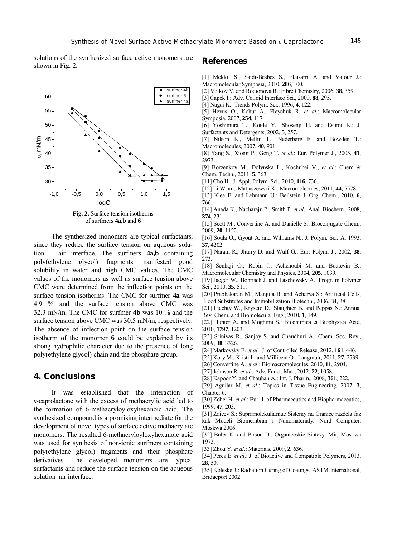solutions of the synthesized surface active monomers are shown in Fig. 2.



of surfmers **4a,b** and **6** 

The synthesized monomers are typical surfactants, since they reduce the surface tension on aqueous solution – air interface. The surfmers **4a,b** containing poly(ethylene glycol) fragments manifested good solubility in water and high CMC values. The CMC values of the monomers as well as surface tension above CMC were determined from the inflection points on the surface tension isotherms. The CMC for surfmer **4a** was 4.9 % and the surface tension above CMC was 32.3 mN/m. The CMC for surfmer **4b** was 10 % and the surface tension above CMC was 30.5 mN/m, respectively. The absence of inflection point on the surface tension isotherm of the monomer **6** could be explained by its strong hydrophilic character due to the presence of long poly(ethylene glycol) chain and the phosphate group.

## **4. Conclusions**

It was established that the interaction of *ε*-caprolactone with the excess of methacrylic acid led to the formation of 6-methacryloyloxyhexanoic acid. The synthesized compound is a promising intermediate for the development of novel types of surface active methacrylate monomers. The resulted 6-methacryloyloxyhexanoic acid was used for synthesis of non-ionic surfmers containing poly(ethylene glycol) fragments and their phosphate derivatives. The developed monomers are typical surfactants and reduce the surface tension on the aqueous solution–air interface.

#### **References**

- [1] Mekkil S., Saidi-Besbes S., Elaisarri A. and Valour J.: Macromolecular Symposia, 2010, **286**, 100.
- [2] Volkov V. and Rodionova R.: Fibre Chemistry, 2006, **38**, 359.
- [3] Capek I.: Adv. Colloid Interface Sci., 2000, **88**, 295.
- [4] Nagai K.: Trends Polym. Sci., 1996, **4**, 122.
- [5] Hevus O., Kohut A., Fleychuk R. *et al*.: Macromolecular Symposia, 2007, **254**, 117.
- [6] Yoshimura T., Koide Y., Shosenji H. and Esumi K.: J. Surfactants and Detergents, 2002, **5**, 257.
- [7] Nilson K., Mellin L., Nederberg F. and Bowden T.: Macromolecules, 2007, **40**, 901.
- [8] Yang S., Xiong P., Gong T. *et al*.: Eur. Polymer J., 2005, **41**, 2973.
- [9] Borzenkov M., Dolynska L., Kochubei V., *et al*.: Chem & Chem. Techn., 2011, **5**, 363.
- [11] Cho H.: J. Appl. Polym. Sci., 2010, **116**, 736.
- [12] Li W. and Matjaszewski K.: Macromolecules, 2011, **44**, 5578.
- [13] Klee E. and Lehmann U.: Beilstein J. Org. Chem., 2010, **6**, 766.
- [14] Anada K., Nacharaju P., Smith P. *et al*.: Anal. Biochem., 2008, **374**, 231.
- [15] Scott M., Convertine A. and Danielle S.: Bioconjugate Chem., 2009, **20**, 1122.
- [16] Soula O., Gyout A. and Williams N.: J. Polym. Sci. A, 1993, **37**, 4202.
- [17] Narain R., Jhurry D. and Wulf G.: Eur. Polym. J., 2002, **38**, 273.
- [18] Senhaji O., Robin J., Achchoubi M. and Boutevin B.: Macromolecular Chemistry and Physics, 2004, **205**, 1039.
- [19] Jaeger W., Bohrisch J. and Laschewsky A.: Progr. in Polymer Sci., 2010, **35**, 511.
- [20] Prabhakaran M., Manjula B. and Acharya S.: Artificial Cells, Blood Substitutes and Immobilization Biotechn., 2006, **34**, 381.
- [21] Liechty W., Kryscio D., Slaughter B. and Peppas N.: Annual
- Rev. Chem. and Biomolecular Eng., 2010, **1**, 149.
- [22] Hunter A. and Moghimi S.: Biochimica et Biophysica Acta, 2010, **1797**, 1203.
- [23] Srinivas R., Sanjoy S. and Chaudhuri A.: Chem. Soc. Rev., 2009, **38**, 3326.
- [24] Markovsky E. *et al*.: J. of Controlled Release, 2012, **161**, 446.
- [25] Kory M., Kristi L. and Millicent O.: Langmuir, 2011, **27**, 2739.
- [26] Convertine A. *et al*.: Biomacromolecules, 2010, **11**, 2904.
- [27]Johnson R. *et al*.: Adv. Funct. Mat., 2012, **22**, 1058.
- [28] Kapoor Y. and Chauhan A.: Int. J. Pharm., 2008, **361**, 222.
- [29] Aguilar M. *et al*.: Topics in Tissue Engineering, 2007, **3**, Chapter 6.
- [30] Zobel H. *et al*.: Eur. J. of Pharmaceutics and Biopharmaceutics, 1999, **47**, 203.
- [31] Zaicev S.: Supramolekuliarnue Sistemy na Granice razdela faz kak Modeli Biomembran i Nanomaterialy. Nord Computer, Moskwa 2006.
- [32] Buler K. and Pirson D.: Organiceskie Sintezy. Mir, Moskwa 1973.
- [33] Zhou Y. *et al*.: Materials, 2009, **2**, 636.
- [34] Perez E. *et al*.: J. of Bioactive and Compatible Polymers, 2013, **28**, 50.
- [35] Koleske J.: Radiation Curing of Coatings, ASTM International, Bridgeport 2002.